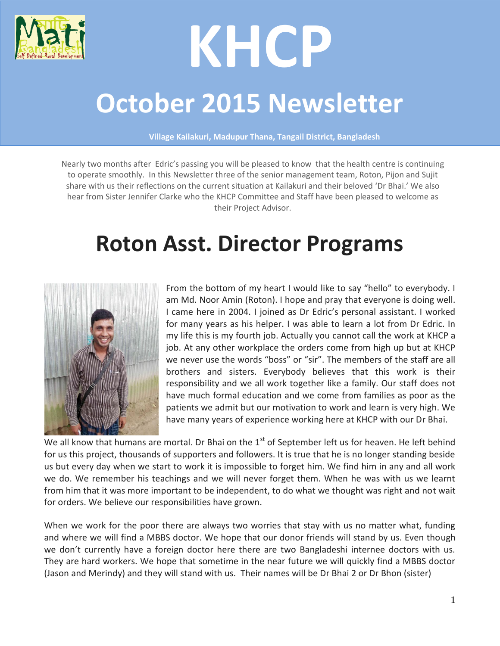

# **KHCP**

# **October 2015 Newsletter**

**Village Kailakuri, Madupur Thana, Tangail District, Bangladesh**

Nearly two months after Edric's passing you will be pleased to know that the health centre is continuing to operate smoothly. In this Newsletter three of the senior management team, Roton, Pijon and Sujit share with us their reflections on the current situation at Kailakuri and their beloved 'Dr Bhai.' We also hear from Sister Jennifer Clarke who the KHCP Committee and Staff have been pleased to welcome as their Project Advisor.

# **Roton Asst. Director Programs**



From the bottom of my heart I would like to say "hello" to everybody. I am Md. Noor Amin (Roton). I hope and pray that everyone is doing well. I came here in 2004. I joined as Dr Edric's personal assistant. I worked for many years as his helper. I was able to learn a lot from Dr Edric. In my life this is my fourth job. Actually you cannot call the work at KHCP a job. At any other workplace the orders come from high up but at KHCP we never use the words "boss" or "sir". The members of the staff are all brothers and sisters. Everybody believes that this work is their responsibility and we all work together like a family. Our staff does not have much formal education and we come from families as poor as the patients we admit but our motivation to work and learn is very high. We have many years of experience working here at KHCP with our Dr Bhai.

We all know that humans are mortal. Dr Bhai on the  $1<sup>st</sup>$  of September left us for heaven. He left behind for us this project, thousands of supporters and followers. It is true that he is no longer standing beside us but every day when we start to work it is impossible to forget him. We find him in any and all work we do. We remember his teachings and we will never forget them. When he was with us we learnt from him that it was more important to be independent, to do what we thought was right and not wait for orders. We believe our responsibilities have grown.

When we work for the poor there are always two worries that stay with us no matter what, funding and where we will find a MBBS doctor. We hope that our donor friends will stand by us. Even though we don't currently have a foreign doctor here there are two Bangladeshi internee doctors with us. They are hard workers. We hope that sometime in the near future we will quickly find a MBBS doctor (Jason and Merindy) and they will stand with us. Their names will be Dr Bhai 2 or Dr Bhon (sister)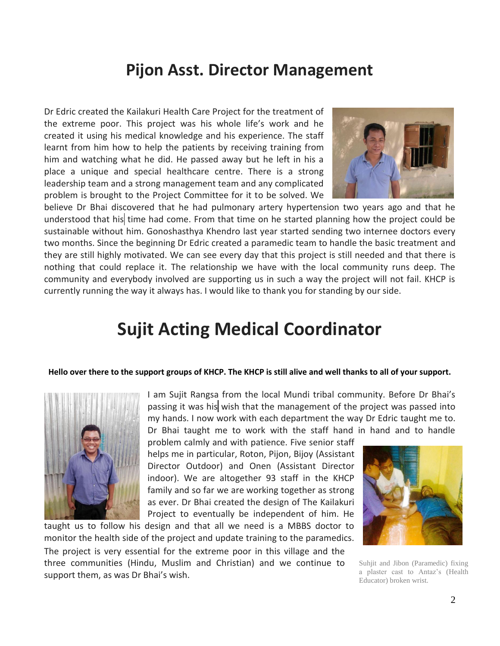## **Pijon Asst. Director Management**

Dr Edric created the Kailakuri Health Care Project for the treatment of the extreme poor. This project was his whole life's work and he created it using his medical knowledge and his experience. The staff learnt from him how to help the patients by receiving training from him and watching what he did. He passed away but he left in his a place a unique and special healthcare centre. There is a strong leadership team and a strong management team and any complicated problem is brought to the Project Committee for it to be solved. We



believe Dr Bhai discovered that he had pulmonary artery hypertension two years ago and that he understood that his time had come. From that time on he started planning how the project could be sustainable without him. Gonoshasthya Khendro last year started sending two internee doctors every two months. Since the beginning Dr Edric created a paramedic team to handle the basic treatment and they are still highly motivated. We can see every day that this project is still needed and that there is nothing that could replace it. The relationship we have with the local community runs deep. The community and everybody involved are supporting us in such a way the project will not fail. KHCP is currently running the way it always has. I would like to thank you for standing by our side.

## **Sujit Acting Medical Coordinator**

#### **Hello over there to the support groups of KHCP. The KHCP is still alive and well thanks to all of your support.**



support them, as was Dr Bhai's wish.

I am Sujit Rangsa from the local Mundi tribal community. Before Dr Bhai's passing it was his wish that the management of the project was passed into my hands. I now work with each department the way Dr Edric taught me to. Dr Bhai taught me to work with the staff hand in hand and to handle

problem calmly and with patience. Five senior staff helps me in particular, Roton, Pijon, Bijoy (Assistant Director Outdoor) and Onen (Assistant Director indoor). We are altogether 93 staff in the KHCP family and so far we are working together as strong as ever. Dr Bhai created the design of The Kailakuri Project to eventually be independent of him. He

taught us to follow his design and that all we need is a MBBS doctor to monitor the health side of the project and update training to the paramedics. The project is very essential for the extreme poor in this village and the three communities (Hindu, Muslim and Christian) and we continue to



Suhjit and Jibon (Paramedic) fixing a plaster cast to Antaz's (Health Educator) broken wrist.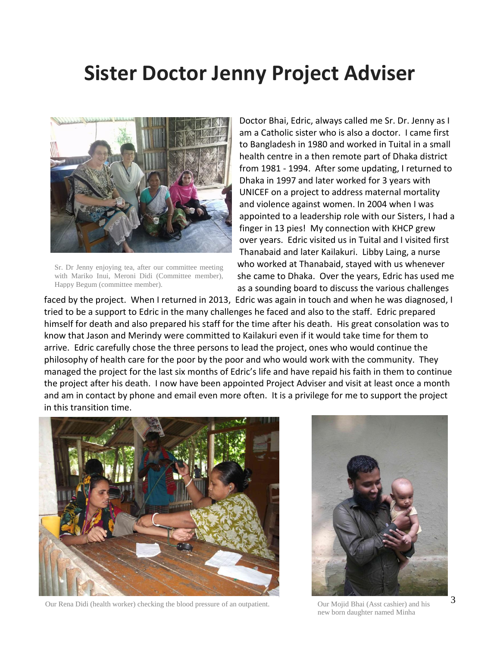# **Sister Doctor Jenny Project Adviser**



Sr. Dr Jenny enjoying tea, after our committee meeting with Mariko Inui, Meroni Didi (Committee member), Happy Begum (committee member).

Doctor Bhai, Edric, always called me Sr. Dr. Jenny as I am a Catholic sister who is also a doctor. I came first to Bangladesh in 1980 and worked in Tuital in a small health centre in a then remote part of Dhaka district from 1981 - 1994. After some updating, I returned to Dhaka in 1997 and later worked for 3 years with UNICEF on a project to address maternal mortality and violence against women. In 2004 when I was appointed to a leadership role with our Sisters, I had a finger in 13 pies! My connection with KHCP grew over years. Edric visited us in Tuital and I visited first Thanabaid and later Kailakuri. Libby Laing, a nurse who worked at Thanabaid, stayed with us whenever she came to Dhaka. Over the years, Edric has used me as a sounding board to discuss the various challenges

faced by the project. When I returned in 2013, Edric was again in touch and when he was diagnosed, I tried to be a support to Edric in the many challenges he faced and also to the staff. Edric prepared himself for death and also prepared his staff for the time after his death. His great consolation was to know that Jason and Merindy were committed to Kailakuri even if it would take time for them to arrive. Edric carefully chose the three persons to lead the project, ones who would continue the philosophy of health care for the poor by the poor and who would work with the community. They managed the project for the last six months of Edric's life and have repaid his faith in them to continue the project after his death. I now have been appointed Project Adviser and visit at least once a month and am in contact by phone and email even more often. It is a privilege for me to support the project in this transition time.



Our Rena Didi (health worker) checking the blood pressure of an outpatient. Our Mojid Bhai (Asst cashier) and his



new born daughter named Minha